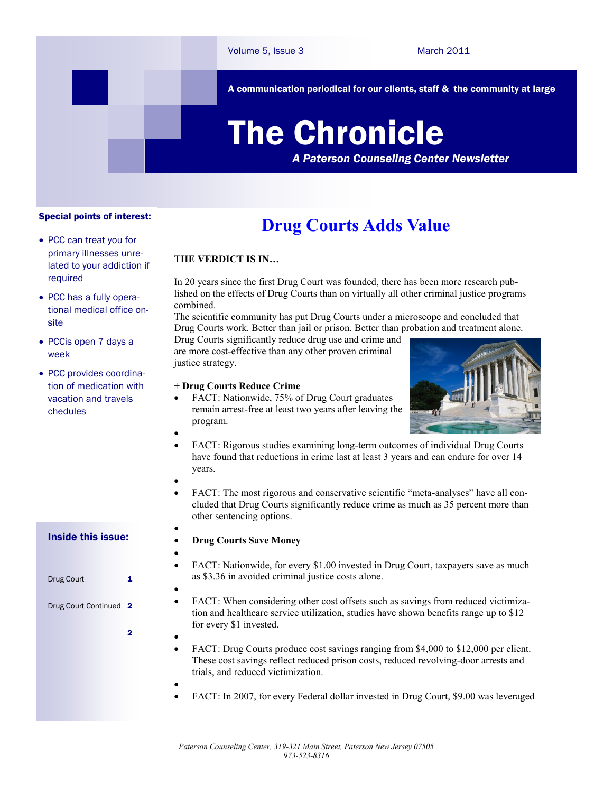A communication periodical for our clients, staff & the community at large

# The Chronicle

*A Paterson Counseling Center Newsletter*

## Special points of interest:

- PCC can treat you for primary illnesses unrelated to your addiction if required
- PCC has a fully operational medical office onsite
- PCCis open 7 days a week
- PCC provides coordination of medication with vacation and travels chedules

# **Drug Courts Adds Value**

## **THE VERDICT IS IN…**

In 20 years since the first Drug Court was founded, there has been more research published on the effects of Drug Courts than on virtually all other criminal justice programs combined.

The scientific community has put Drug Courts under a microscope and concluded that Drug Courts work. Better than jail or prison. Better than probation and treatment alone.

Drug Courts significantly reduce drug use and crime and are more cost-effective than any other proven criminal justice strategy.

## **+ Drug Courts Reduce Crime**

 FACT: Nationwide, 75% of Drug Court graduates remain arrest-free at least two years after leaving the program.



- FACT: Rigorous studies examining long-term outcomes of individual Drug Courts have found that reductions in crime last at least 3 years and can endure for over 14 years.
- $\bullet$

 $\bullet$ 

 $\bullet$ 

 $\bullet$ 

 $\bullet$ 

 $\bullet$ 

 FACT: The most rigorous and conservative scientific "meta-analyses" have all concluded that Drug Courts significantly reduce crime as much as 35 percent more than other sentencing options.

## **Drug Courts Save Money**

- $\bullet$  FACT: Nationwide, for every \$1.00 invested in Drug Court, taxpayers save as much
	- as \$3.36 in avoided criminal justice costs alone.
	- FACT: When considering other cost offsets such as savings from reduced victimization and healthcare service utilization, studies have shown benefits range up to \$12 for every \$1 invested.
	- FACT: Drug Courts produce cost savings ranging from \$4,000 to \$12,000 per client. These cost savings reflect reduced prison costs, reduced revolving-door arrests and trials, and reduced victimization.
	- FACT: In 2007, for every Federal dollar invested in Drug Court, \$9.00 was leveraged

## Inside this issue:

| Drug Court           | 1   |
|----------------------|-----|
| Drug Court Continued | - 2 |
|                      |     |